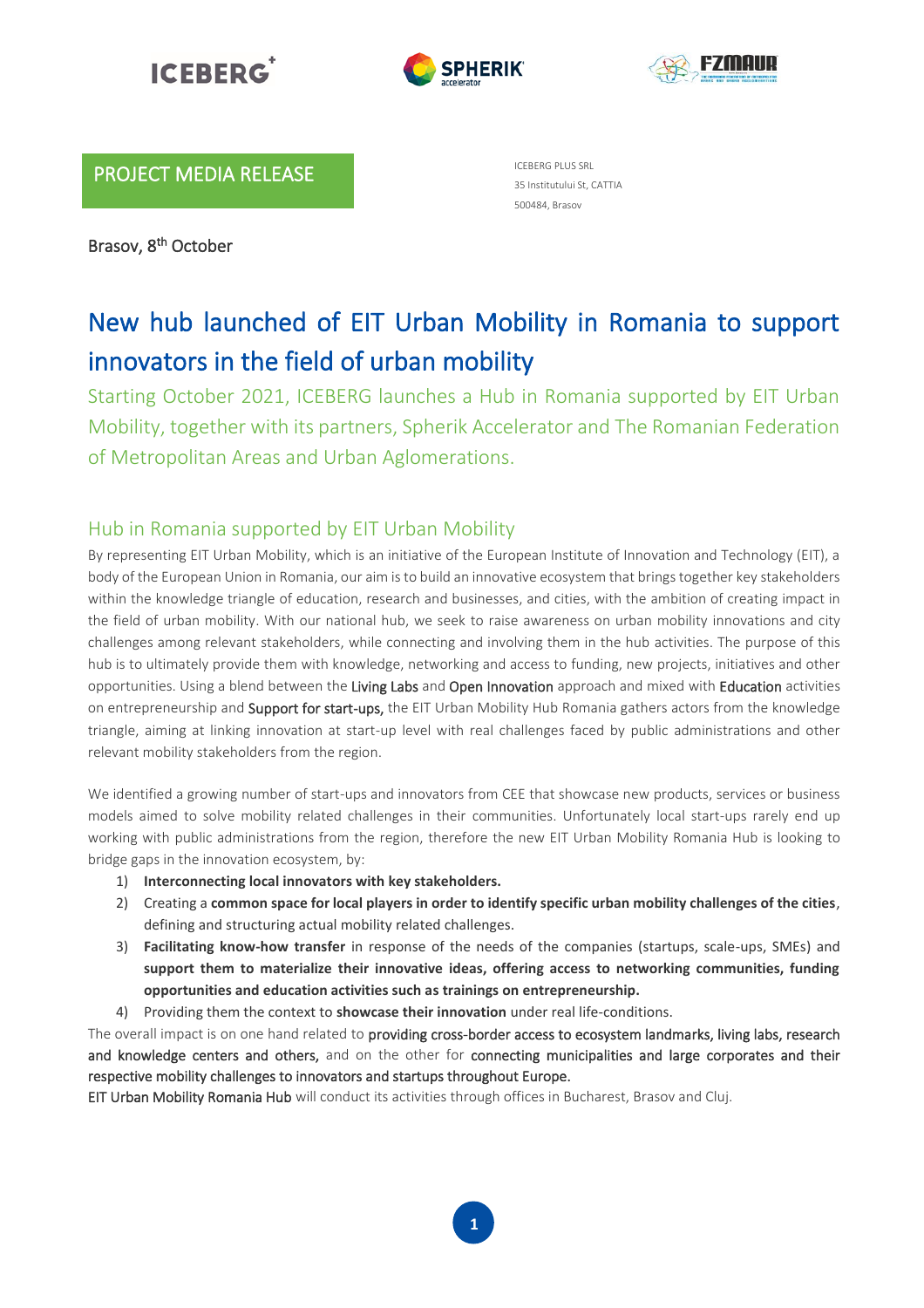





## PROJECT MEDIA RELEASE

Brasov, 8<sup>th</sup> October

ICEBERG PLUS SRL 35 Institutului St, CATTIA 500484, Brasov

# New hub launched of EIT Urban Mobility in Romania to support innovators in the field of urban mobility

Starting October 2021, ICEBERG launches a Hub in Romania supported by EIT Urban Mobility, together with its partners, Spherik Accelerator and The Romanian Federation of Metropolitan Areas and Urban Aglomerations.

## Hub in Romania supported by EIT Urban Mobility

By representing EIT Urban Mobility, which is an initiative of the European Institute of Innovation and Technology (EIT), a body of the European Union in Romania, our aim is to build an innovative ecosystem that brings together key stakeholders within the knowledge triangle of education, research and businesses, and cities, with the ambition of creating impact in the field of urban mobility. With our national hub, we seek to raise awareness on urban mobility innovations and city challenges among relevant stakeholders, while connecting and involving them in the hub activities. The purpose of this hub is to ultimately provide them with knowledge, networking and access to funding, new projects, initiatives and other opportunities. Using a blend between the Living Labs and Open Innovation approach and mixed with Education activities on entrepreneurship and Support for start-ups, the EIT Urban Mobility Hub Romania gathers actors from the knowledge triangle, aiming at linking innovation at start-up level with real challenges faced by public administrations and other relevant mobility stakeholders from the region.

We identified a growing number of start-ups and innovators from CEE that showcase new products, services or business models aimed to solve mobility related challenges in their communities. Unfortunately local start-ups rarely end up working with public administrations from the region, therefore the new EIT Urban Mobility Romania Hub is looking to bridge gaps in the innovation ecosystem, by:

- 1) **Interconnecting local innovators with key stakeholders.**
- 2) Creating a **common space for local players in order to identify specific urban mobility challenges of the cities**, defining and structuring actual mobility related challenges.
- 3) **Facilitating know-how transfer** in response of the needs of the companies (startups, scale-ups, SMEs) and **support them to materialize their innovative ideas, offering access to networking communities, funding opportunities and education activities such as trainings on entrepreneurship.**
- 4) Providing them the context to **showcase their innovation** under real life-conditions.

The overall impact is on one hand related to providing cross-border access to ecosystem landmarks, living labs, research and knowledge centers and others, and on the other for connecting municipalities and large corporates and their respective mobility challenges to innovators and startups throughout Europe.

EIT Urban Mobility Romania Hub will conduct its activities through offices in Bucharest, Brasov and Cluj.

**1**